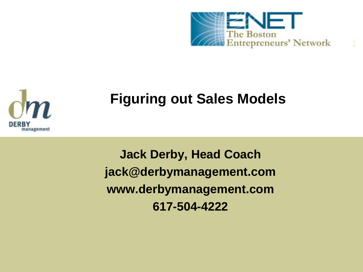

# **Figuring out Sales Models**

**Jack Derby, Head Coach jack@derbymanagement.com www.derbymanagement.com 617-504-4222**

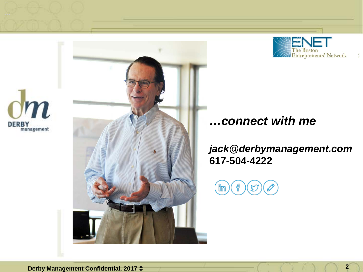





#### *…connect with me*

*jack@derbymanagement.com* **617-504-4222** 

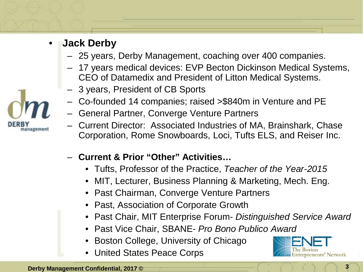#### • **Jack Derby**

- 25 years, Derby Management, coaching over 400 companies.
- 17 years medical devices: EVP Becton Dickinson Medical Systems, CEO of Datamedix and President of Litton Medical Systems.
- 3 years, President of CB Sports
- Co-founded 14 companies; raised >\$840m in Venture and PE
- General Partner, Converge Venture Partners
- Current Director: Associated Industries of MA, Brainshark, Chase Corporation, Rome Snowboards, Loci, Tufts ELS, and Reiser Inc.
- **Current & Prior "Other" Activities…**
	- Tufts, Professor of the Practice, *Teacher of the Year-2015*
	- MIT, Lecturer, Business Planning & Marketing, Mech. Eng.
	- Past Chairman, Converge Venture Partners
	- Past, Association of Corporate Growth
	- Past Chair, MIT Enterprise Forum- *Distinguished Service Award*
	- Past Vice Chair, SBANE- *Pro Bono Publico Award*
	- Boston College, University of Chicago
	- United States Peace Corps

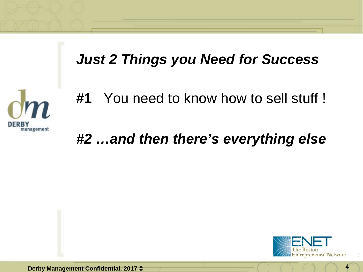## *Just 2 Things you Need for Success*



## *#2 …and then there's everything else*



**Derby Management Confidential, 2017 © 4**

**DERBY** 

management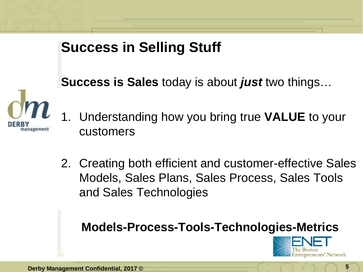## **Success in Selling Stuff**

**Success is Sales** today is about *just* two things…



- 1. Understanding how you bring true **VALUE** to your customers
- 2. Creating both efficient and customer-effective Sales Models, Sales Plans, Sales Process, Sales Tools and Sales Technologies

#### **Models-Process-Tools-Technologies-Metrics**

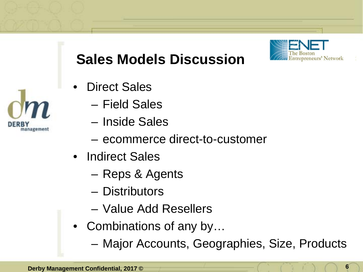# **Sales Models Discussion**

- Direct Sales
	- Field Sales
	- Inside Sales
	- ecommerce direct-to-customer
- Indirect Sales
	- Reps & Agents
	- Distributors
	- Value Add Resellers
- Combinations of any by...
	- Major Accounts, Geographies, Size, Products

management



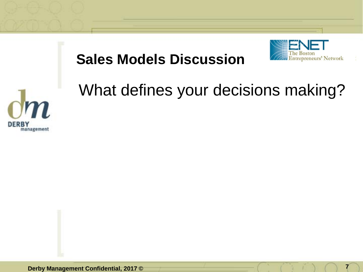

# **Sales Models Discussion**



# What defines your decisions making?

**Derby Management Confidential, 2017 ©**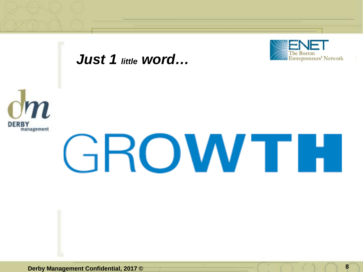

#### *Just 1 little word…*



# GROWTH.

**Derby Management Confidential, 2017 © 8 8**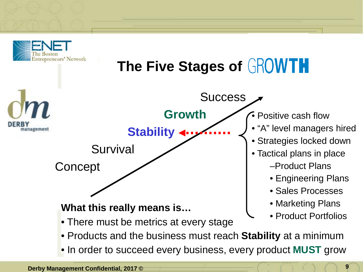



**Derby Management Confidential, 2017 ©**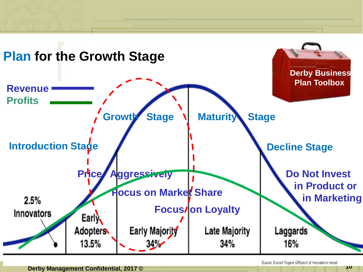

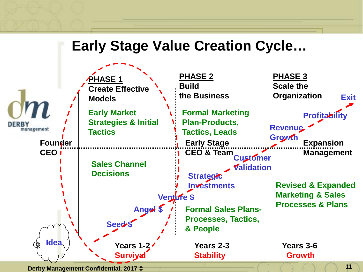### **Early Stage Value Creation Cycle…**